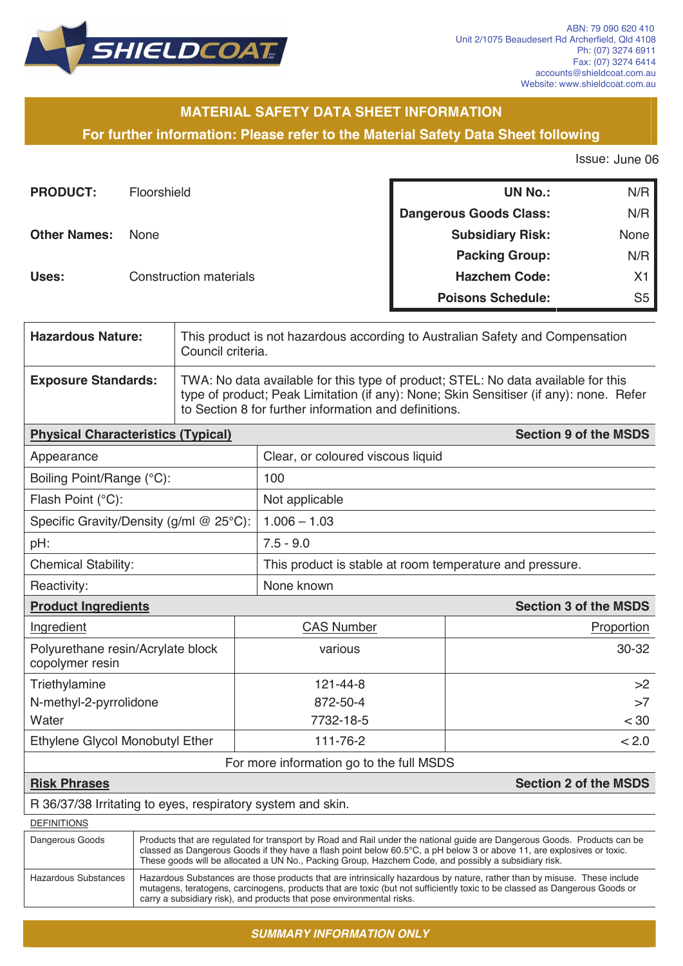

# **MATERIAL SAFETY DATA SHEET INFORMATION**

**For further information: Please refer to the Material Safety Data Sheet following**

Issue: June 06

| <b>PRODUCT:</b>     | Floorshield                   | <b>UN No.:</b>                | N/R            |
|---------------------|-------------------------------|-------------------------------|----------------|
|                     |                               | <b>Dangerous Goods Class:</b> | N/R            |
| <b>Other Names:</b> | <b>None</b>                   | <b>Subsidiary Risk:</b>       | None           |
|                     |                               | <b>Packing Group:</b>         | N/R            |
| Uses:               | <b>Construction materials</b> | <b>Hazchem Code:</b>          | X <sub>1</sub> |
|                     |                               | <b>Poisons Schedule:</b>      | S <sub>5</sub> |

| <b>Hazardous Nature:</b>                  | This product is not hazardous according to Australian Safety and Compensation<br>Council criteria.                                                                                                                                   |                                  |  |
|-------------------------------------------|--------------------------------------------------------------------------------------------------------------------------------------------------------------------------------------------------------------------------------------|----------------------------------|--|
| <b>Exposure Standards:</b>                | TWA: No data available for this type of product; STEL: No data available for this<br>type of product; Peak Limitation (if any): None; Skin Sensitiser (if any): none. Refer<br>to Section 8 for further information and definitions. |                                  |  |
| <b>Physical Characteristics (Typical)</b> |                                                                                                                                                                                                                                      | <b>Section 9 of the MSDS</b>     |  |
| Annearance                                |                                                                                                                                                                                                                                      | Clear or coloured viscous liquid |  |

| Appearance                                           | Clear, or coloured viscous liquid |                                                          |  |  |
|------------------------------------------------------|-----------------------------------|----------------------------------------------------------|--|--|
| Boiling Point/Range (°C):                            | 100                               |                                                          |  |  |
| Flash Point (°C):                                    | Not applicable                    |                                                          |  |  |
| Specific Gravity/Density (g/ml $@$ 25°C):            | $1.006 - 1.03$                    |                                                          |  |  |
| pH:                                                  | $7.5 - 9.0$                       |                                                          |  |  |
| <b>Chemical Stability:</b>                           |                                   | This product is stable at room temperature and pressure. |  |  |
| Reactivity:                                          | None known                        |                                                          |  |  |
| <b>Product Ingredients</b>                           |                                   | <b>Section 3 of the MSDS</b>                             |  |  |
| Ingredient                                           | <b>CAS Number</b>                 | Proportion                                               |  |  |
| Polyurethane resin/Acrylate block<br>copolymer resin | various                           | 30-32                                                    |  |  |
| Triethylamine                                        | 121-44-8                          | >2                                                       |  |  |
| N-methyl-2-pyrrolidone                               | 872-50-4                          | >7                                                       |  |  |
| Water                                                | 7732-18-5                         | < 30                                                     |  |  |
| Ethylene Glycol Monobutyl Ether                      | 111-76-2                          | < 2.0                                                    |  |  |

### For more information go to the full MSDS

#### **Risk Phrases Section 2 of the MSDS**

#### R 36/37/38 Irritating to eyes, respiratory system and skin.

| <b>DEFINITIONS</b>   |                                                                                                                                                                                                                                                                                                                                                            |
|----------------------|------------------------------------------------------------------------------------------------------------------------------------------------------------------------------------------------------------------------------------------------------------------------------------------------------------------------------------------------------------|
| Dangerous Goods      | Products that are regulated for transport by Road and Rail under the national quide are Dangerous Goods. Products can be<br>classed as Dangerous Goods if they have a flash point below 60.5°C, a pH below 3 or above 11, are explosives or toxic.<br>These goods will be allocated a UN No., Packing Group, Hazchem Code, and possibly a subsidiary risk. |
| Hazardous Substances | Hazardous Substances are those products that are intrinsically hazardous by nature, rather than by misuse. These include<br>mutagens, teratogens, carcinogens, products that are toxic (but not sufficiently toxic to be classed as Dangerous Goods or<br>carry a subsidiary risk), and products that pose environmental risks.                            |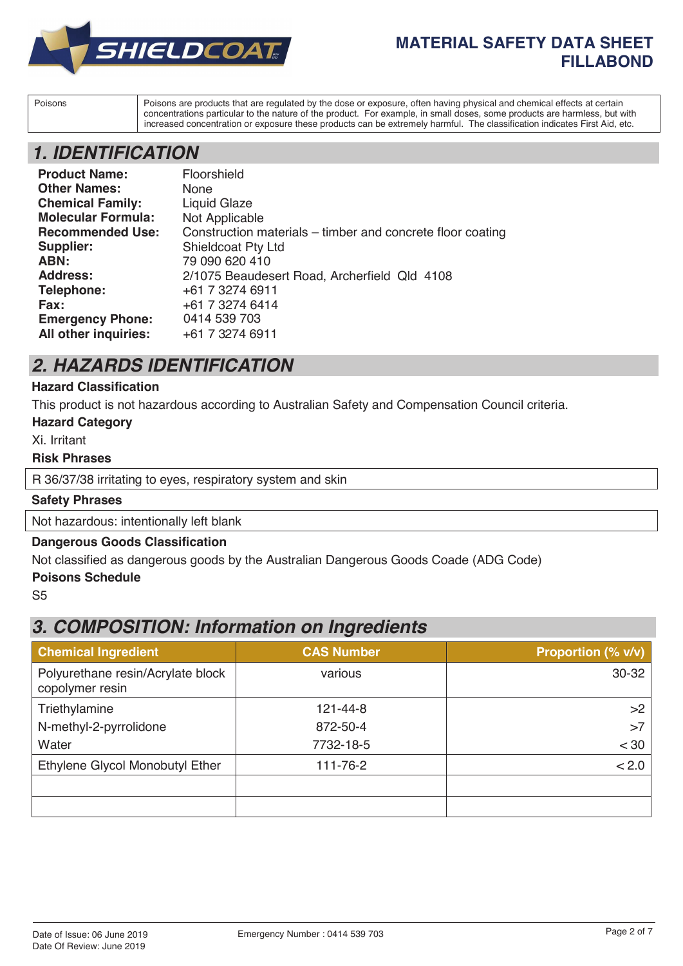

# **MATERIAL SAFETY DATA SHEET FILLABOND**

Poisons Poisons are products that are regulated by the dose or exposure, often having physical and chemical effects at certain concentrations particular to the nature of the product. For example, in small doses, some products are harmless, but with increased concentration or exposure these products can be extremely harmful. The classification indicates First Aid, etc.

# *1. IDENTIFICATION*

| <b>Product Name:</b>      | Floorshield                                                |
|---------------------------|------------------------------------------------------------|
| <b>Other Names:</b>       | <b>None</b>                                                |
| <b>Chemical Family:</b>   | <b>Liquid Glaze</b>                                        |
| <b>Molecular Formula:</b> | Not Applicable                                             |
| <b>Recommended Use:</b>   | Construction materials – timber and concrete floor coating |
| Supplier:                 | <b>Shieldcoat Pty Ltd</b>                                  |
| ABN:                      | 79 090 620 410                                             |
| <b>Address:</b>           | 2/1075 Beaudesert Road, Archerfield Qld 4108               |
| Telephone:                | +61 7 3274 6911                                            |
| Fax:                      | +61 7 3274 6414                                            |
| <b>Emergency Phone:</b>   | 0414 539 703                                               |
| All other inquiries:      | +61 7 3274 6911                                            |

# *2. HAZARDS IDENTIFICATION*

### **Hazard Classification**

This product is not hazardous according to Australian Safety and Compensation Council criteria.

#### **Hazard Category**

Xi. Irritant

#### **Risk Phrases**

R 36/37/38 irritating to eyes, respiratory system and skin

#### **Safety Phrases**

Not hazardous: intentionally left blank

#### **Dangerous Goods Classification**

Not classified as dangerous goods by the Australian Dangerous Goods Coade (ADG Code)

#### **Poisons Schedule**

S5

# *3. COMPOSITION: Information on Ingredients*

| <b>Chemical Ingredient</b>                           | <b>CAS Number</b> | Proportion (% v/v) |
|------------------------------------------------------|-------------------|--------------------|
| Polyurethane resin/Acrylate block<br>copolymer resin | various           | 30-32              |
| Triethylamine                                        | 121-44-8          | >2                 |
| N-methyl-2-pyrrolidone                               | 872-50-4          | >7                 |
| Water                                                | 7732-18-5         | < 30               |
| Ethylene Glycol Monobutyl Ether                      | 111-76-2          | < 2.0              |
|                                                      |                   |                    |
|                                                      |                   |                    |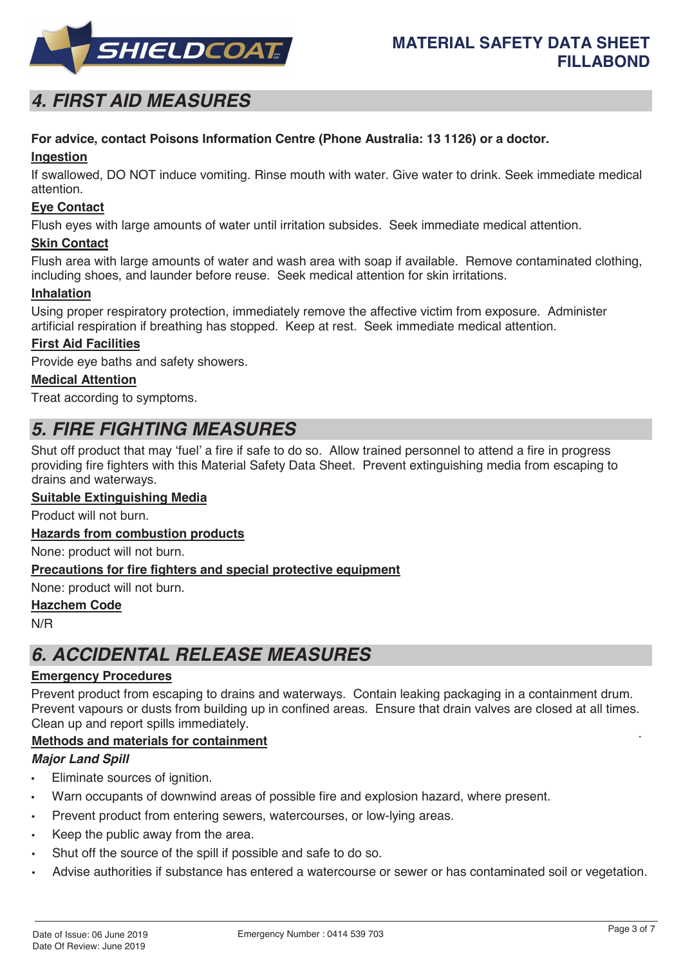

# *4. FIRST AID MEASURES*

# **For advice, contact Poisons Information Centre (Phone Australia: 13 1126) or a doctor.**

### **Ingestion**

If swallowed, DO NOT induce vomiting. Rinse mouth with water. Give water to drink. Seek immediate medical attention.

### **Eye Contact**

Flush eyes with large amounts of water until irritation subsides. Seek immediate medical attention.

### **Skin Contact**

Flush area with large amounts of water and wash area with soap if available. Remove contaminated clothing, including shoes, and launder before reuse. Seek medical attention for skin irritations.

### **Inhalation**

Using proper respiratory protection, immediately remove the affective victim from exposure. Administer artificial respiration if breathing has stopped. Keep at rest. Seek immediate medical attention.

### **First Aid Facilities**

Provide eye baths and safety showers.

### **Medical Attention**

Treat according to symptoms.

# *5. FIRE FIGHTING MEASURES*

Shut off product that may 'fuel' a fire if safe to do so. Allow trained personnel to attend a fire in progress providing fire fighters with this Material Safety Data Sheet. Prevent extinguishing media from escaping to drains and waterways.

### **Suitable Extinguishing Media**

Product will not burn.

#### **Hazards from combustion products**

None: product will not burn.

#### **Precautions for fire fighters and special protective equipment**

None: product will not burn.

#### **Hazchem Code**

N/R

# *6. ACCIDENTAL RELEASE MEASURES*

#### **Emergency Procedures**

. Prevent product from escaping to drains and waterways. Contain leaking packaging in a containment drum. Prevent vapours or dusts from building up in confined areas. Ensure that drain valves are closed at all times. Clean up and report spills immediately.

# **Methods and materials for containment**

#### *Major Land Spill*

- Eliminate sources of ignition.
- Warn occupants of downwind areas of possible fire and explosion hazard, where present.
- Prevent product from entering sewers, watercourses, or low-lying areas.
- Keep the public away from the area.
- Shut off the source of the spill if possible and safe to do so.
- Advise authorities if substance has entered a watercourse or sewer or has contaminated soil or vegetation.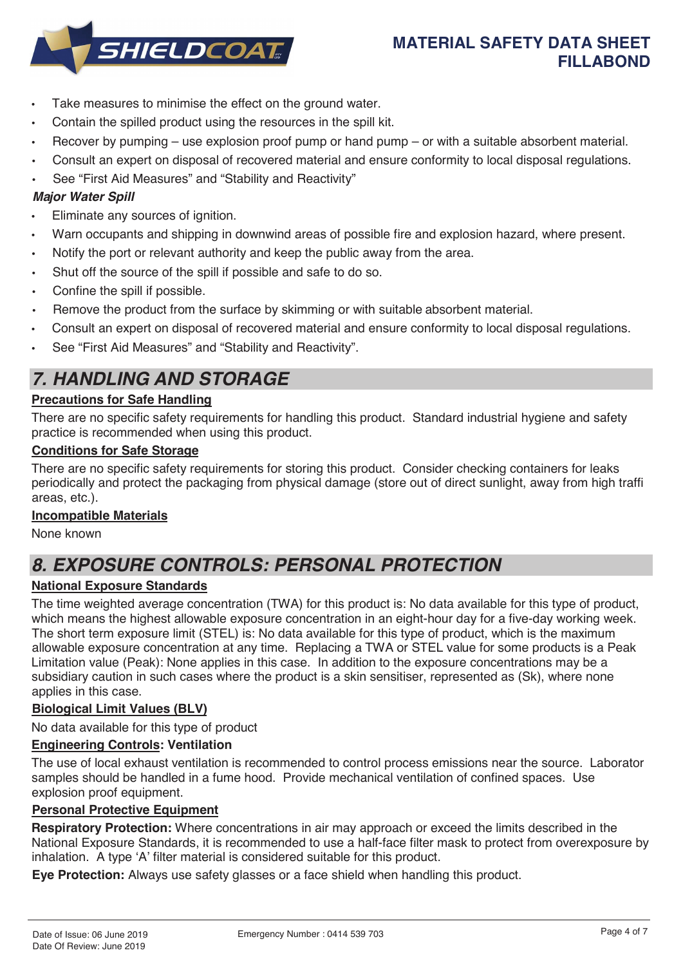

- Take measures to minimise the effect on the ground water.
- Contain the spilled product using the resources in the spill kit.
- Recover by pumping use explosion proof pump or hand pump or with a suitable absorbent material.
- Consult an expert on disposal of recovered material and ensure conformity to local disposal regulations.
- See "First Aid Measures" and "Stability and Reactivity"

### *Major Water Spill*

- Eliminate any sources of ignition.
- Warn occupants and shipping in downwind areas of possible fire and explosion hazard, where present.
- Notify the port or relevant authority and keep the public away from the area.
- Shut off the source of the spill if possible and safe to do so.
- Confine the spill if possible.
- Remove the product from the surface by skimming or with suitable absorbent material.
- Consult an expert on disposal of recovered material and ensure conformity to local disposal regulations.
- See "First Aid Measures" and "Stability and Reactivity".

# *7. HANDLING AND STORAGE*

# **Precautions for Safe Handling**

There are no specific safety requirements for handling this product. Standard industrial hygiene and safety practice is recommended when using this product.

### **Conditions for Safe Storage**

There are no specific safety requirements for storing this product. Consider checking containers for leaks periodically and protect the packaging from physical damage (store out of direct sunlight, away from high traffi areas, etc.).

#### **Incompatible Materials**

None known

# *8. EXPOSURE CONTROLS: PERSONAL PROTECTION*

# **National Exposure Standards**

The time weighted average concentration (TWA) for this product is: No data available for this type of product, which means the highest allowable exposure concentration in an eight-hour day for a five-day working week. The short term exposure limit (STEL) is: No data available for this type of product, which is the maximum allowable exposure concentration at any time. Replacing a TWA or STEL value for some products is a Peak Limitation value (Peak): None applies in this case. In addition to the exposure concentrations may be a subsidiary caution in such cases where the product is a skin sensitiser, represented as (Sk), where none applies in this case.

# **Biological Limit Values (BLV)**

No data available for this type of product

# **Engineering Controls: Ventilation**

The use of local exhaust ventilation is recommended to control process emissions near the source. Laborator samples should be handled in a fume hood. Provide mechanical ventilation of confined spaces. Use explosion proof equipment.

### **Personal Protective Equipment**

**Respiratory Protection:** Where concentrations in air may approach or exceed the limits described in the National Exposure Standards, it is recommended to use a half-face filter mask to protect from overexposure by inhalation. A type 'A' filter material is considered suitable for this product.

**Eye Protection:** Always use safety glasses or a face shield when handling this product.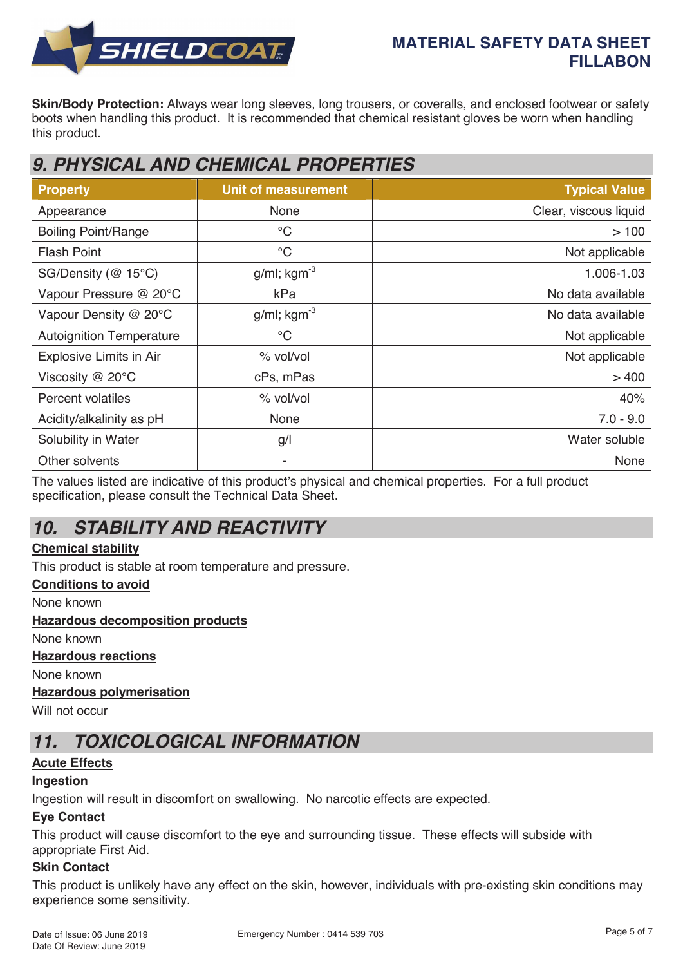

# **MATERIAL SAFETY DATA SHEET FILLABON**

**Skin/Body Protection:** Always wear long sleeves, long trousers, or coveralls, and enclosed footwear or safety boots when handling this product. It is recommended that chemical resistant gloves be worn when handling this product.

# *9. PHYSICAL AND CHEMICAL PROPERTIES*

| <b>Property</b>                 | <b>Unit of measurement</b> | <b>Typical Value</b>  |
|---------------------------------|----------------------------|-----------------------|
| Appearance                      | None                       | Clear, viscous liquid |
| <b>Boiling Point/Range</b>      | $\rm ^{\circ}C$            | >100                  |
| <b>Flash Point</b>              | $\rm ^{\circ}C$            | Not applicable        |
| SG/Density (@ 15°C)             | $g/ml$ ; kgm <sup>-3</sup> | 1.006-1.03            |
| Vapour Pressure @ 20°C          | kPa                        | No data available     |
| Vapour Density @ 20°C           | $g/ml$ ; kgm <sup>-3</sup> | No data available     |
| <b>Autoignition Temperature</b> | $\rm ^{\circ}C$            | Not applicable        |
| Explosive Limits in Air         | % vol/vol                  | Not applicable        |
| Viscosity $@$ 20 $°C$           | cPs, mPas                  | >400                  |
| <b>Percent volatiles</b>        | % vol/vol                  | 40%                   |
| Acidity/alkalinity as pH        | <b>None</b>                | $7.0 - 9.0$           |
| Solubility in Water             | g/l                        | Water soluble         |
| Other solvents                  |                            | None                  |

The values listed are indicative of this product's physical and chemical properties. For a full product specification, please consult the Technical Data Sheet.

# *10. STABILITY AND REACTIVITY*

# **Chemical stability**

This product is stable at room temperature and pressure.

# **Conditions to avoid**

None known

#### **Hazardous decomposition products**

None known

#### **Hazardous reactions**

None known

# **Hazardous polymerisation**

Will not occur

# *11. TOXICOLOGICAL INFORMATION*

# **Acute Effects**

# **Ingestion**

Ingestion will result in discomfort on swallowing. No narcotic effects are expected.

# **Eye Contact**

This product will cause discomfort to the eye and surrounding tissue. These effects will subside with appropriate First Aid.

# **Skin Contact**

This product is unlikely have any effect on the skin, however, individuals with pre-existing skin conditions may experience some sensitivity.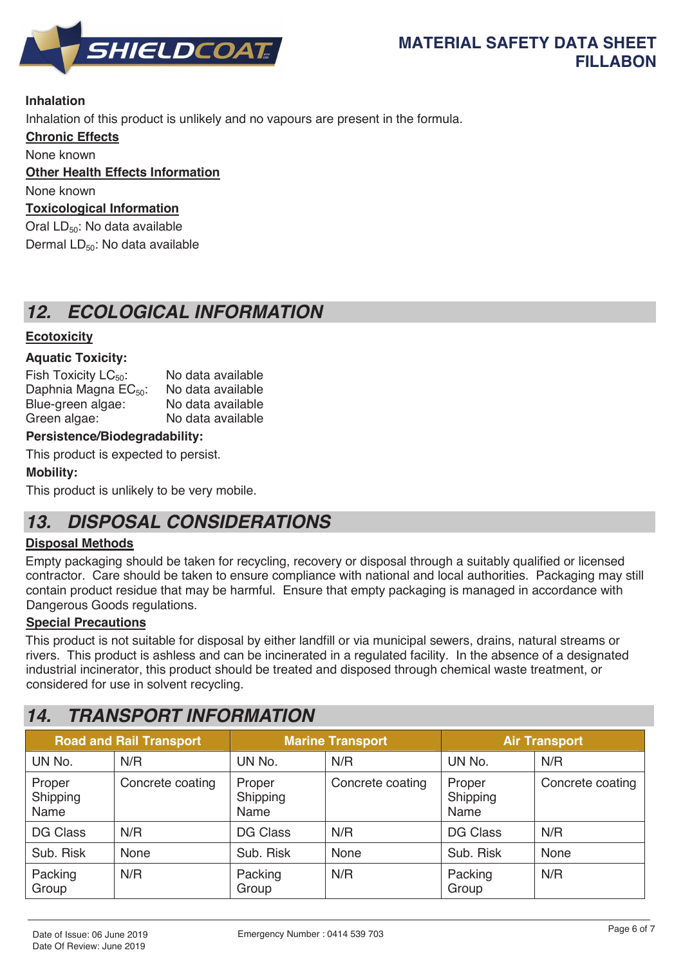

# **Inhalation**

Inhalation of this product is unlikely and no vapours are present in the formula.

**Chronic Effects**

None known

# **Other Health Effects Information**

None known

# **Toxicological Information**

Oral LD<sub>50</sub>: No data available Dermal LD<sub>50</sub>: No data available

# *12. ECOLOGICAL INFORMATION*

# **Ecotoxicity**

# **Aquatic Toxicity:**

Fish Toxicity  $LC_{50}$ : No data available<br>Daphnia Magna  $EC_{50}$ : No data available Daphnia Magna  $EC_{50}$ : No data available<br>Blue-green algae: No data available Blue-green algae: Green algae: No data available

# **Persistence/Biodegradability:**

This product is expected to persist.

# **Mobility:**

This product is unlikely to be very mobile.

# *13. DISPOSAL CONSIDERATIONS*

# **Disposal Methods**

Empty packaging should be taken for recycling, recovery or disposal through a suitably qualified or licensed contractor. Care should be taken to ensure compliance with national and local authorities. Packaging may still contain product residue that may be harmful. Ensure that empty packaging is managed in accordance with Dangerous Goods regulations.

# **Special Precautions**

This product is not suitable for disposal by either landfill or via municipal sewers, drains, natural streams or rivers. This product is ashless and can be incinerated in a regulated facility. In the absence of a designated industrial incinerator, this product should be treated and disposed through chemical waste treatment, or considered for use in solvent recycling.

# *14. TRANSPORT INFORMATION*

| <b>Road and Rail Transport</b> |                  | <b>Marine Transport</b>    |                  | <b>Air Transport</b>       |                  |
|--------------------------------|------------------|----------------------------|------------------|----------------------------|------------------|
| UN No.                         | N/R              | UN No.                     | N/R              | UN No.                     | N/R              |
| Proper<br>Shipping<br>Name     | Concrete coating | Proper<br>Shipping<br>Name | Concrete coating | Proper<br>Shipping<br>Name | Concrete coating |
| <b>DG Class</b>                | N/R              | <b>DG Class</b>            | N/R              | <b>DG Class</b>            | N/R              |
| Sub. Risk                      | <b>None</b>      | Sub. Risk                  | <b>None</b>      | Sub. Risk                  | <b>None</b>      |
| Packing<br>Group               | N/R              | Packing<br>Group           | N/R              | Packing<br>Group           | N/R              |